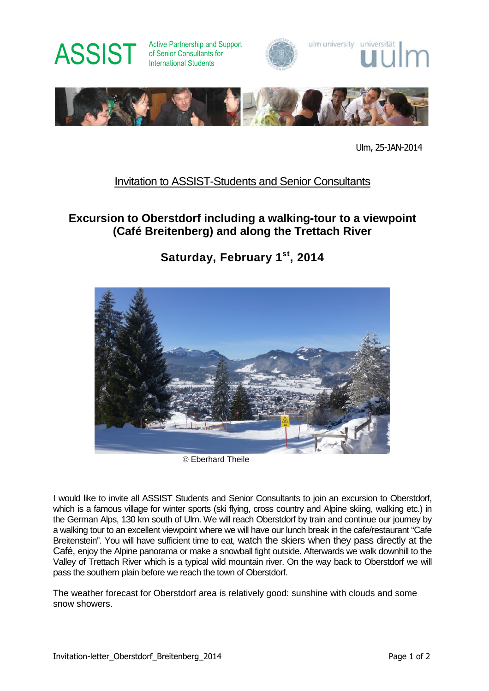

of Senior Consultants for International Students







Ulm, 25-JAN-2014

### Invitation to ASSIST-Students and Senior Consultants

### **Excursion to Oberstdorf including a walking-tour to a viewpoint (Café Breitenberg) and along the Trettach River**

**Saturday, February 1st, 2014**



Eberhard Theile

I would like to invite all ASSIST Students and Senior Consultants to join an excursion to Oberstdorf, which is a famous village for winter sports (ski flying, cross country and Alpine skiing, walking etc.) in the German Alps, 130 km south of Ulm. We will reach Oberstdorf by train and continue our journey by a walking tour to an excellent viewpoint where we will have our lunch break in the cafe/restaurant "Cafe Breitenstein". You will have sufficient time to eat, watch the skiers when they pass directly at the Café, enjoy the Alpine panorama or make a snowball fight outside. Afterwards we walk downhill to the Valley of Trettach River which is a typical wild mountain river. On the way back to Oberstdorf we will pass the southern plain before we reach the town of Oberstdorf.

The weather forecast for Oberstdorf area is relatively good: sunshine with clouds and some snow showers.